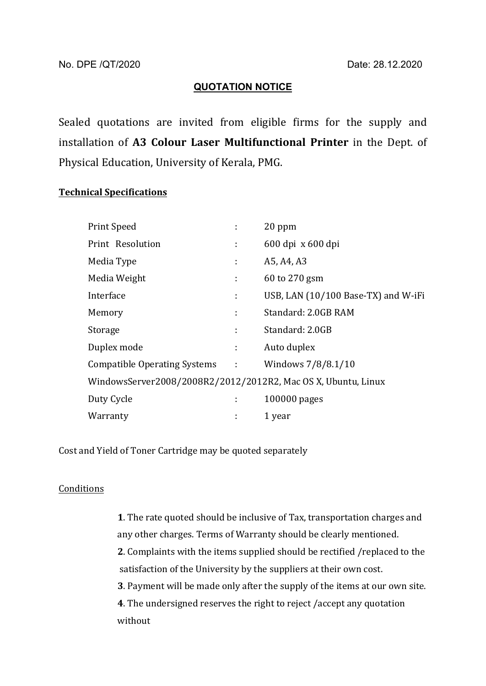## **QUOTATION NOTICE**

Sealed quotations are invited from eligible firms for the supply and installation of **A3 Colour Laser Multifunctional Printer** in the Dept. of Physical Education, University of Kerala, PMG.

## **Technical Specifications**

| Print Speed                                                   | ÷  | 20 ppm                              |
|---------------------------------------------------------------|----|-------------------------------------|
| Print Resolution                                              | ÷  | 600 dpi x 600 dpi                   |
| Media Type                                                    | ÷  | A5, A4, A3                          |
| Media Weight                                                  | ÷  | 60 to 270 gsm                       |
| Interface                                                     | ÷  | USB, LAN (10/100 Base-TX) and W-iFi |
| Memory                                                        | ÷  | Standard: 2.0GB RAM                 |
| Storage                                                       | ÷  | Standard: 2.0GB                     |
| Duplex mode                                                   | ÷. | Auto duplex                         |
| Compatible Operating Systems :                                |    | Windows 7/8/8.1/10                  |
| WindowsServer2008/2008R2/2012/2012R2, Mac OS X, Ubuntu, Linux |    |                                     |
| Duty Cycle                                                    | ÷  | 100000 pages                        |
| Warranty                                                      | ÷  | 1 year                              |

Cost and Yield of Toner Cartridge may be quoted separately

## Conditions

**1**. The rate quoted should be inclusive of Tax, transportation charges and any other charges. Terms of Warranty should be clearly mentioned. **2**. Complaints with the items supplied should be rectified /replaced to the satisfaction of the University by the suppliers at their own cost. **3**. Payment will be made only after the supply of the items at our own site. **4**. The undersigned reserves the right to reject /accept any quotation without